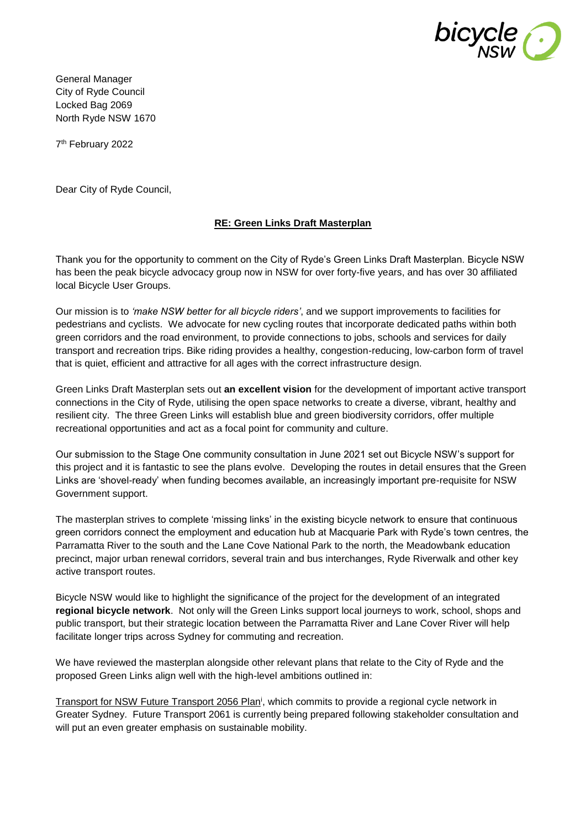

General Manager City of Ryde Council Locked Bag 2069 North Ryde NSW 1670

7 th February 2022

Dear City of Ryde Council,

#### **RE: Green Links Draft Masterplan**

Thank you for the opportunity to comment on the City of Ryde's Green Links Draft Masterplan. Bicycle NSW has been the peak bicycle advocacy group now in NSW for over forty-five years, and has over 30 affiliated local Bicycle User Groups.

Our mission is to *'make NSW better for all bicycle riders'*, and we support improvements to facilities for pedestrians and cyclists. We advocate for new cycling routes that incorporate dedicated paths within both green corridors and the road environment, to provide connections to jobs, schools and services for daily transport and recreation trips. Bike riding provides a healthy, congestion-reducing, low-carbon form of travel that is quiet, efficient and attractive for all ages with the correct infrastructure design.

Green Links Draft Masterplan sets out **an excellent vision** for the development of important active transport connections in the City of Ryde, utilising the open space networks to create a diverse, vibrant, healthy and resilient city. The three Green Links will establish blue and green biodiversity corridors, offer multiple recreational opportunities and act as a focal point for community and culture.

Our submission to the Stage One community consultation in June 2021 set out Bicycle NSW's support for this project and it is fantastic to see the plans evolve. Developing the routes in detail ensures that the Green Links are 'shovel-ready' when funding becomes available, an increasingly important pre-requisite for NSW Government support.

The masterplan strives to complete 'missing links' in the existing bicycle network to ensure that continuous green corridors connect the employment and education hub at Macquarie Park with Ryde's town centres, the Parramatta River to the south and the Lane Cove National Park to the north, the Meadowbank education precinct, major urban renewal corridors, several train and bus interchanges, Ryde Riverwalk and other key active transport routes.

Bicycle NSW would like to highlight the significance of the project for the development of an integrated **regional bicycle network**. Not only will the Green Links support local journeys to work, school, shops and public transport, but their strategic location between the Parramatta River and Lane Cover River will help facilitate longer trips across Sydney for commuting and recreation.

We have reviewed the masterplan alongside other relevant plans that relate to the City of Ryde and the proposed Green Links align well with the high-level ambitions outlined in:

Transport for NSW Future Transport 2056 Plan<sup>i</sup>, which commits to provide a regional cycle network in Greater Sydney. Future Transport 2061 is currently being prepared following stakeholder consultation and will put an even greater emphasis on sustainable mobility.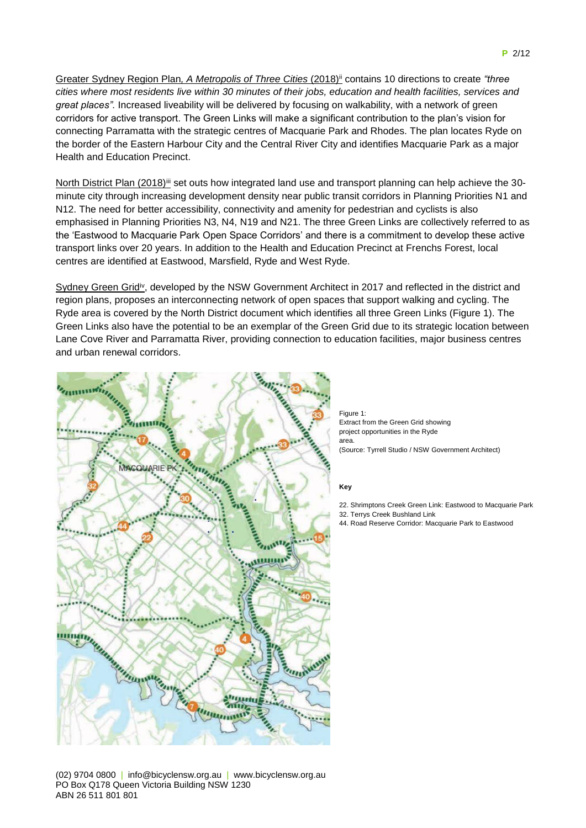Greater Sydney Region Plan*, A Metropolis of Three Cities* (2018)ii contains 10 directions to create *"three cities where most residents live within 30 minutes of their jobs, education and health facilities, services and great places".* Increased liveability will be delivered by focusing on walkability, with a network of green corridors for active transport. The Green Links will make a significant contribution to the plan's vision for connecting Parramatta with the strategic centres of Macquarie Park and Rhodes. The plan locates Ryde on the border of the Eastern Harbour City and the Central River City and identifies Macquarie Park as a major Health and Education Precinct.

North District Plan (2018)<sup>iii</sup> set outs how integrated land use and transport planning can help achieve the 30minute city through increasing development density near public transit corridors in Planning Priorities N1 and N12. The need for better accessibility, connectivity and amenity for pedestrian and cyclists is also emphasised in Planning Priorities N3, N4, N19 and N21. The three Green Links are collectively referred to as the 'Eastwood to Macquarie Park Open Space Corridors' and there is a commitment to develop these active transport links over 20 years. In addition to the Health and Education Precinct at Frenchs Forest, local centres are identified at Eastwood, Marsfield, Ryde and West Ryde.

Sydney Green Grid<sup>iv</sup>, developed by the NSW Government Architect in 2017 and reflected in the district and region plans, proposes an interconnecting network of open spaces that support walking and cycling. The Ryde area is covered by the North District document which identifies all three Green Links (Figure 1). The Green Links also have the potential to be an exemplar of the Green Grid due to its strategic location between Lane Cove River and Parramatta River, providing connection to education facilities, major business centres and urban renewal corridors.



Figure 1: Extract from the Green Grid showing project opportunities in the Ryde area.

(Source: Tyrrell Studio / NSW Government Architect)

#### **Key**

22. Shrimptons Creek Green Link: Eastwood to Macquarie Park 32. Terrys Creek Bushland Link

44. Road Reserve Corridor: Macquarie Park to Eastwood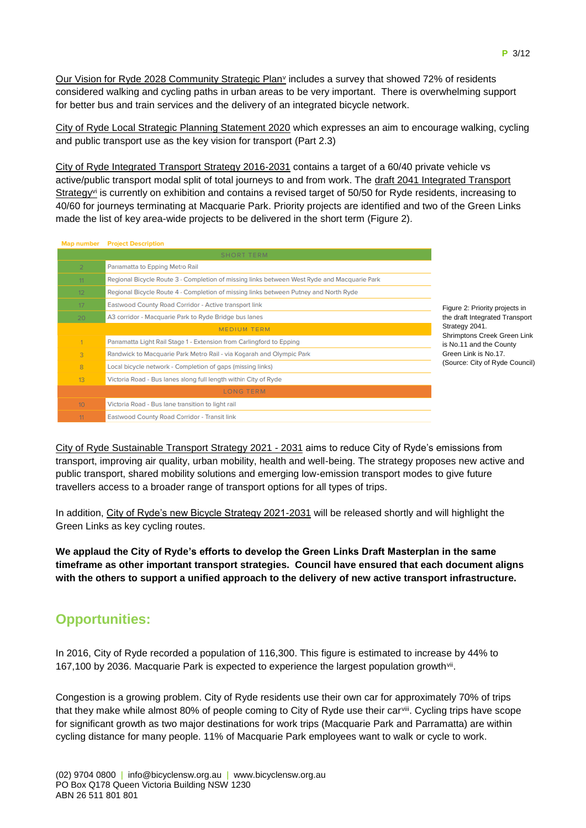Our Vision for Ryde 2028 Community Strategic Plan<sup>y</sup> includes a survey that showed 72% of residents considered walking and cycling paths in urban areas to be very important. There is overwhelming support for better bus and train services and the delivery of an integrated bicycle network.

City of Ryde Local Strategic Planning Statement 2020 which expresses an aim to encourage walking, cycling and public transport use as the key vision for transport (Part 2.3)

City of Ryde Integrated Transport Strategy 2016-2031 contains a target of a 60/40 private vehicle vs active/public transport modal split of total journeys to and from work. The draft 2041 Integrated Transport Strategy<sup>vi</sup> is currently on exhibition and contains a revised target of 50/50 for Ryde residents, increasing to 40/60 for journeys terminating at Macquarie Park. Priority projects are identified and two of the Green Links made the list of key area-wide projects to be delivered in the short term (Figure 2).

|                 | Map number Project Description                                                              |                                                                                                                                                                                                        |
|-----------------|---------------------------------------------------------------------------------------------|--------------------------------------------------------------------------------------------------------------------------------------------------------------------------------------------------------|
|                 | <b>SHORT TERM</b>                                                                           |                                                                                                                                                                                                        |
| 2.              | Parramatta to Epping Metro Rail                                                             | Figure 2: Priority projects in<br>the draft Integrated Transport<br>Strategy 2041.<br>Shrimptons Creek Green Link<br>is No.11 and the County<br>Green Link is No.17.<br>(Source: City of Ryde Council) |
| 11              | Regional Bicycle Route 3 - Completion of missing links between West Ryde and Macquarie Park |                                                                                                                                                                                                        |
| $12-$           | Regional Bicycle Route 4 - Completion of missing links between Putney and North Ryde        |                                                                                                                                                                                                        |
| 17 <sup>°</sup> | Eastwood County Road Corridor - Active transport link                                       |                                                                                                                                                                                                        |
| 20              | A3 corridor - Macquarie Park to Ryde Bridge bus lanes                                       |                                                                                                                                                                                                        |
|                 | <b>MEDIUM TERM</b>                                                                          |                                                                                                                                                                                                        |
|                 | Parramatta Light Rail Stage 1 - Extension from Carlingford to Epping                        |                                                                                                                                                                                                        |
| 3               | Randwick to Macquarie Park Metro Rail - via Kogarah and Olympic Park                        |                                                                                                                                                                                                        |
| 8               | Local bicycle network - Completion of gaps (missing links)                                  |                                                                                                                                                                                                        |
| 13              | Victoria Road - Bus lanes along full length within City of Ryde                             |                                                                                                                                                                                                        |
|                 | <b>LONG TERM</b>                                                                            |                                                                                                                                                                                                        |
| 10 <sup>°</sup> | Victoria Road - Bus lane transition to light rail                                           |                                                                                                                                                                                                        |
| 11              | Eastwood County Road Corridor - Transit link                                                |                                                                                                                                                                                                        |

City of Ryde Sustainable Transport Strategy 2021 - 2031 aims to reduce City of Ryde's emissions from transport, improving air quality, urban mobility, health and well-being. The strategy proposes new active and public transport, shared mobility solutions and emerging low-emission transport modes to give future travellers access to a broader range of transport options for all types of trips.

In addition, City of Ryde's new Bicycle Strategy 2021-2031 will be released shortly and will highlight the Green Links as key cycling routes.

**We applaud the City of Ryde's efforts to develop the Green Links Draft Masterplan in the same timeframe as other important transport strategies. Council have ensured that each document aligns with the others to support a unified approach to the delivery of new active transport infrastructure.**

## **Opportunities:**

In 2016, City of Ryde recorded a population of 116,300. This figure is estimated to increase by 44% to 167,100 by 2036. Macquarie Park is expected to experience the largest population growth<sup>vii</sup>.

Congestion is a growing problem. City of Ryde residents use their own car for approximately 70% of trips that they make while almost 80% of people coming to City of Ryde use their carviii . Cycling trips have scope for significant growth as two major destinations for work trips (Macquarie Park and Parramatta) are within cycling distance for many people. 11% of Macquarie Park employees want to walk or cycle to work.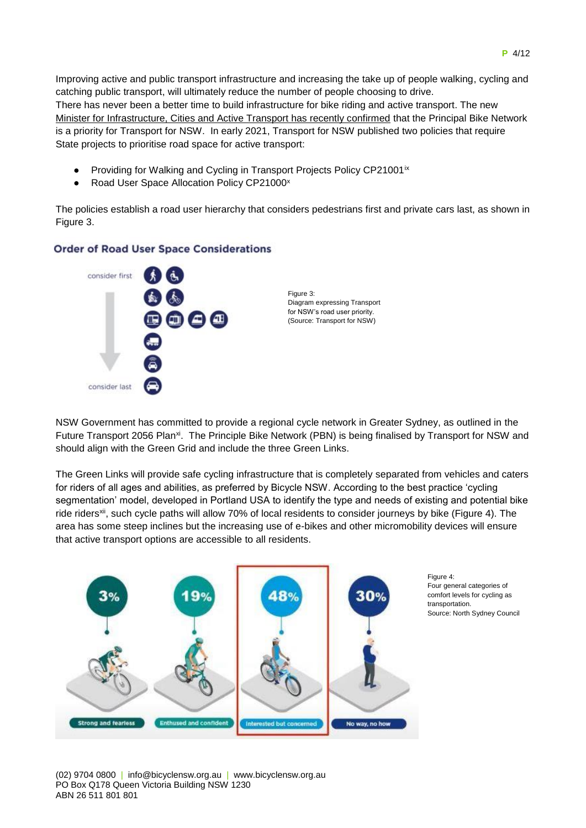Improving active and public transport infrastructure and increasing the take up of people walking, cycling and catching public transport, will ultimately reduce the number of people choosing to drive. There has never been a better time to build infrastructure for bike riding and active transport. The new [Minister for Infrastructure, Cities and Active Transport has recently confirmed](https://bicyclensw.org.au/meeting-the-new-transport-minister/) that the Principal Bike Network is a priority for Transport for NSW. In early 2021, Transport for NSW published two policies that require State projects to prioritise road space for active transport:

- Providing for Walking and Cycling in Transport Projects Policy CP21001<sup>ix</sup>
- Road User Space Allocation Policy CP21000<sup>x</sup>

The policies establish a road user hierarchy that considers pedestrians first and private cars last, as shown in Figure 3.



### **Order of Road User Space Considerations**

Figure 3: Diagram expressing Transport for NSW's road user priority. (Source: Transport for NSW)

NSW Government has committed to provide a regional cycle network in Greater Sydney, as outlined in the Future Transport 2056 Plan<sup>xi</sup>. The Principle Bike Network (PBN) is being finalised by Transport for NSW and should align with the Green Grid and include the three Green Links.

The Green Links will provide safe cycling infrastructure that is completely separated from vehicles and caters for riders of all ages and abilities, as preferred by Bicycle NSW. According to the best practice 'cycling segmentation' model, developed in Portland USA to identify the type and needs of existing and potential bike ride riders<sup>xii</sup>, such cycle paths will allow 70% of local residents to consider journeys by bike (Figure 4). The area has some steep inclines but the increasing use of e-bikes and other micromobility devices will ensure that active transport options are accessible to all residents.



Figure 4: Four general categories of comfort levels for cycling as transportation. Source: North Sydney Council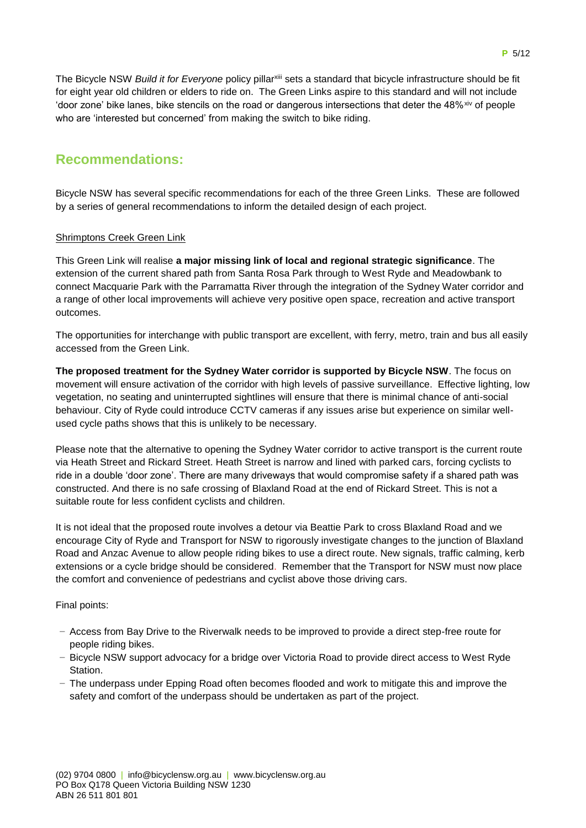The Bicycle NSW *Build it for Everyone* policy pillarxiii sets a standard that bicycle infrastructure should be fit for eight year old children or elders to ride on. The Green Links aspire to this standard and will not include 'door zone' bike lanes, bike stencils on the road or dangerous intersections that deter the 48%<sup>xiv</sup> of people who are 'interested but concerned' from making the switch to bike riding.

## **Recommendations:**

Bicycle NSW has several specific recommendations for each of the three Green Links. These are followed by a series of general recommendations to inform the detailed design of each project.

#### Shrimptons Creek Green Link

This Green Link will realise **a major missing link of local and regional strategic significance**. The extension of the current shared path from Santa Rosa Park through to West Ryde and Meadowbank to connect Macquarie Park with the Parramatta River through the integration of the Sydney Water corridor and a range of other local improvements will achieve very positive open space, recreation and active transport outcomes.

The opportunities for interchange with public transport are excellent, with ferry, metro, train and bus all easily accessed from the Green Link.

**The proposed treatment for the Sydney Water corridor is supported by Bicycle NSW**. The focus on movement will ensure activation of the corridor with high levels of passive surveillance. Effective lighting, low vegetation, no seating and uninterrupted sightlines will ensure that there is minimal chance of anti-social behaviour. City of Ryde could introduce CCTV cameras if any issues arise but experience on similar wellused cycle paths shows that this is unlikely to be necessary.

Please note that the alternative to opening the Sydney Water corridor to active transport is the current route via Heath Street and Rickard Street. Heath Street is narrow and lined with parked cars, forcing cyclists to ride in a double 'door zone'. There are many driveways that would compromise safety if a shared path was constructed. And there is no safe crossing of Blaxland Road at the end of Rickard Street. This is not a suitable route for less confident cyclists and children.

It is not ideal that the proposed route involves a detour via Beattie Park to cross Blaxland Road and we encourage City of Ryde and Transport for NSW to rigorously investigate changes to the junction of Blaxland Road and Anzac Avenue to allow people riding bikes to use a direct route. New signals, traffic calming, kerb extensions or a cycle bridge should be considered. Remember that the Transport for NSW must now place the comfort and convenience of pedestrians and cyclist above those driving cars.

#### Final points:

- − Access from Bay Drive to the Riverwalk needs to be improved to provide a direct step-free route for people riding bikes.
- − Bicycle NSW support advocacy for a bridge over Victoria Road to provide direct access to West Ryde Station.
- − The underpass under Epping Road often becomes flooded and work to mitigate this and improve the safety and comfort of the underpass should be undertaken as part of the project.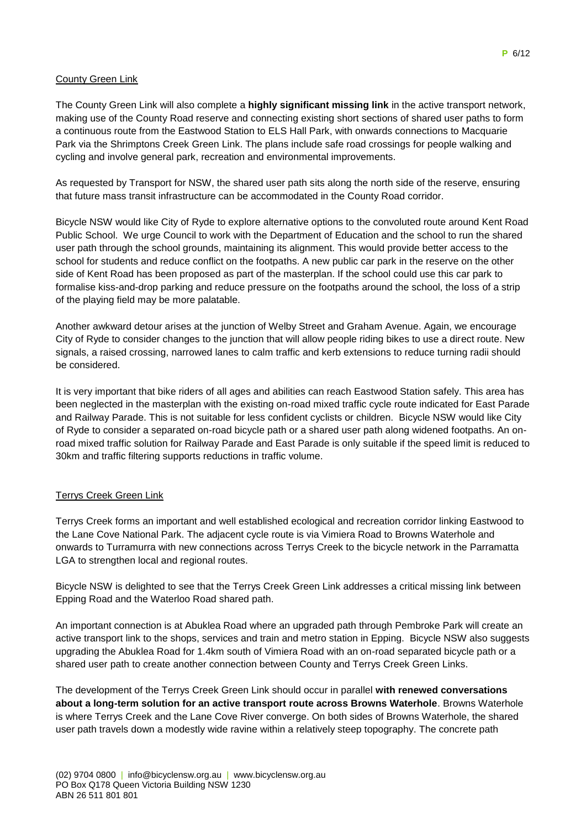#### County Green Link

The County Green Link will also complete a **highly significant missing link** in the active transport network, making use of the County Road reserve and connecting existing short sections of shared user paths to form a continuous route from the Eastwood Station to ELS Hall Park, with onwards connections to Macquarie Park via the Shrimptons Creek Green Link. The plans include safe road crossings for people walking and cycling and involve general park, recreation and environmental improvements.

As requested by Transport for NSW, the shared user path sits along the north side of the reserve, ensuring that future mass transit infrastructure can be accommodated in the County Road corridor.

Bicycle NSW would like City of Ryde to explore alternative options to the convoluted route around Kent Road Public School. We urge Council to work with the Department of Education and the school to run the shared user path through the school grounds, maintaining its alignment. This would provide better access to the school for students and reduce conflict on the footpaths. A new public car park in the reserve on the other side of Kent Road has been proposed as part of the masterplan. If the school could use this car park to formalise kiss-and-drop parking and reduce pressure on the footpaths around the school, the loss of a strip of the playing field may be more palatable.

Another awkward detour arises at the junction of Welby Street and Graham Avenue. Again, we encourage City of Ryde to consider changes to the junction that will allow people riding bikes to use a direct route. New signals, a raised crossing, narrowed lanes to calm traffic and kerb extensions to reduce turning radii should be considered.

It is very important that bike riders of all ages and abilities can reach Eastwood Station safely. This area has been neglected in the masterplan with the existing on-road mixed traffic cycle route indicated for East Parade and Railway Parade. This is not suitable for less confident cyclists or children. Bicycle NSW would like City of Ryde to consider a separated on-road bicycle path or a shared user path along widened footpaths. An onroad mixed traffic solution for Railway Parade and East Parade is only suitable if the speed limit is reduced to 30km and traffic filtering supports reductions in traffic volume.

#### Terrys Creek Green Link

Terrys Creek forms an important and well established ecological and recreation corridor linking Eastwood to the Lane Cove National Park. The adjacent cycle route is via Vimiera Road to Browns Waterhole and onwards to Turramurra with new connections across Terrys Creek to the bicycle network in the Parramatta LGA to strengthen local and regional routes.

Bicycle NSW is delighted to see that the Terrys Creek Green Link addresses a critical missing link between Epping Road and the Waterloo Road shared path.

An important connection is at Abuklea Road where an upgraded path through Pembroke Park will create an active transport link to the shops, services and train and metro station in Epping. Bicycle NSW also suggests upgrading the Abuklea Road for 1.4km south of Vimiera Road with an on-road separated bicycle path or a shared user path to create another connection between County and Terrys Creek Green Links.

The development of the Terrys Creek Green Link should occur in parallel **with renewed conversations about a long-term solution for an active transport route across Browns Waterhole**. Browns Waterhole is where Terrys Creek and the Lane Cove River converge. On both sides of Browns Waterhole, the shared user path travels down a modestly wide ravine within a relatively steep topography. The concrete path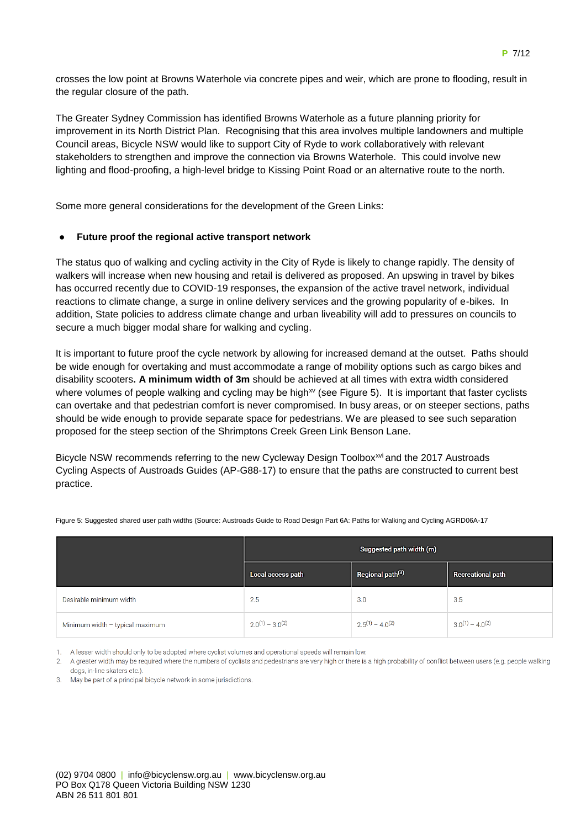crosses the low point at Browns Waterhole via concrete pipes and weir, which are prone to flooding, result in the regular closure of the path.

The Greater Sydney Commission has identified Browns Waterhole as a future planning priority for improvement in its North District Plan. Recognising that this area involves multiple landowners and multiple Council areas, Bicycle NSW would like to support City of Ryde to work collaboratively with relevant stakeholders to strengthen and improve the connection via Browns Waterhole. This could involve new lighting and flood-proofing, a high-level bridge to Kissing Point Road or an alternative route to the north.

Some more general considerations for the development of the Green Links:

#### ● **Future proof the regional active transport network**

The status quo of walking and cycling activity in the City of Ryde is likely to change rapidly. The density of walkers will increase when new housing and retail is delivered as proposed. An upswing in travel by bikes has occurred recently due to COVID-19 responses, the expansion of the active travel network, individual reactions to climate change, a surge in online delivery services and the growing popularity of e-bikes. In addition, State policies to address climate change and urban liveability will add to pressures on councils to secure a much bigger modal share for walking and cycling.

It is important to future proof the cycle network by allowing for increased demand at the outset. Paths should be wide enough for overtaking and must accommodate a range of mobility options such as cargo bikes and disability scooters**. A minimum width of 3m** should be achieved at all times with extra width considered where volumes of people walking and cycling may be high $w$  (see Figure 5). It is important that faster cyclists can overtake and that pedestrian comfort is never compromised. In busy areas, or on steeper sections, paths should be wide enough to provide separate space for pedestrians. We are pleased to see such separation proposed for the steep section of the Shrimptons Creek Green Link Benson Lane.

Bicycle NSW recommends referring to the new Cycleway Design Toolbox<sup>xvi</sup> and the 2017 Austroads Cycling Aspects of Austroads Guides (AP-G88-17) to ensure that the paths are constructed to current best practice.

|                                 | Suggested path width (m) |                              |                          |
|---------------------------------|--------------------------|------------------------------|--------------------------|
|                                 | Local access path        | Regional path <sup>(3)</sup> | <b>Recreational path</b> |
| Desirable minimum width         | 2.5                      | 3.0                          | 3.5                      |
| Minimum width - typical maximum | $2.0^{(1)} - 3.0^{(2)}$  | $2.5^{(1)} - 4.0^{(2)}$      | $3.0^{(1)} - 4.0^{(2)}$  |

Figure 5: Suggested shared user path widths (Source: Austroads Guide to Road Design Part 6A: Paths for Walking and Cycling AGRD06A-17

1. A lesser width should only to be adopted where cyclist volumes and operational speeds will remain low.

2. A greater width may be required where the numbers of cyclists and pedestrians are very high or there is a high probability of conflict between users (e.g. people walking dogs, in-line skaters etc.).

3. May be part of a principal bicycle network in some jurisdictions.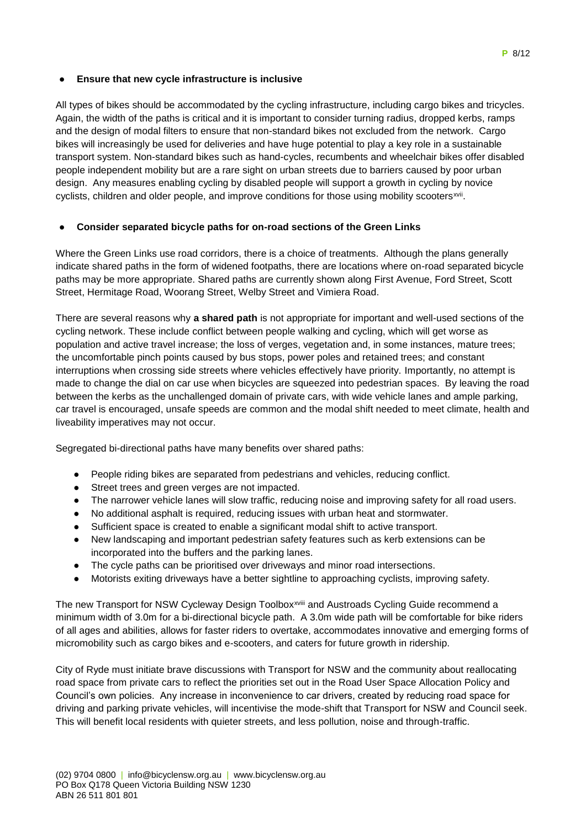#### **Ensure that new cycle infrastructure is inclusive**

All types of bikes should be accommodated by the cycling infrastructure, including cargo bikes and tricycles. Again, the width of the paths is critical and it is important to consider turning radius, dropped kerbs, ramps and the design of modal filters to ensure that non-standard bikes not excluded from the network. Cargo bikes will increasingly be used for deliveries and have huge potential to play a key role in a sustainable transport system. Non-standard bikes such as hand-cycles, recumbents and wheelchair bikes offer disabled people independent mobility but are a rare sight on urban streets due to barriers caused by poor urban design. Any measures enabling cycling by disabled people will support a growth in cycling by novice cyclists, children and older people, and improve conditions for those using mobility scooters<sup>xvii</sup>.

### ● **Consider separated bicycle paths for on-road sections of the Green Links**

Where the Green Links use road corridors, there is a choice of treatments. Although the plans generally indicate shared paths in the form of widened footpaths, there are locations where on-road separated bicycle paths may be more appropriate. Shared paths are currently shown along First Avenue, Ford Street, Scott Street, Hermitage Road, Woorang Street, Welby Street and Vimiera Road.

There are several reasons why **a shared path** is not appropriate for important and well-used sections of the cycling network. These include conflict between people walking and cycling, which will get worse as population and active travel increase; the loss of verges, vegetation and, in some instances, mature trees; the uncomfortable pinch points caused by bus stops, power poles and retained trees; and constant interruptions when crossing side streets where vehicles effectively have priority. Importantly, no attempt is made to change the dial on car use when bicycles are squeezed into pedestrian spaces. By leaving the road between the kerbs as the unchallenged domain of private cars, with wide vehicle lanes and ample parking, car travel is encouraged, unsafe speeds are common and the modal shift needed to meet climate, health and liveability imperatives may not occur.

Segregated bi-directional paths have many benefits over shared paths:

- People riding bikes are separated from pedestrians and vehicles, reducing conflict.
- Street trees and green verges are not impacted.
- The narrower vehicle lanes will slow traffic, reducing noise and improving safety for all road users.
- No additional asphalt is required, reducing issues with urban heat and stormwater.
- Sufficient space is created to enable a significant modal shift to active transport.
- New landscaping and important pedestrian safety features such as kerb extensions can be incorporated into the buffers and the parking lanes.
- The cycle paths can be prioritised over driveways and minor road intersections.
- Motorists exiting driveways have a better sightline to approaching cyclists, improving safety.

The new Transport for NSW Cycleway Design Toolbox<sup>xviii</sup> and Austroads Cycling Guide recommend a minimum width of 3.0m for a bi-directional bicycle path. A 3.0m wide path will be comfortable for bike riders of all ages and abilities, allows for faster riders to overtake, accommodates innovative and emerging forms of micromobility such as cargo bikes and e-scooters, and caters for future growth in ridership.

City of Ryde must initiate brave discussions with Transport for NSW and the community about reallocating road space from private cars to reflect the priorities set out in the Road User Space Allocation Policy and Council's own policies. Any increase in inconvenience to car drivers, created by reducing road space for driving and parking private vehicles, will incentivise the mode-shift that Transport for NSW and Council seek. This will benefit local residents with quieter streets, and less pollution, noise and through-traffic.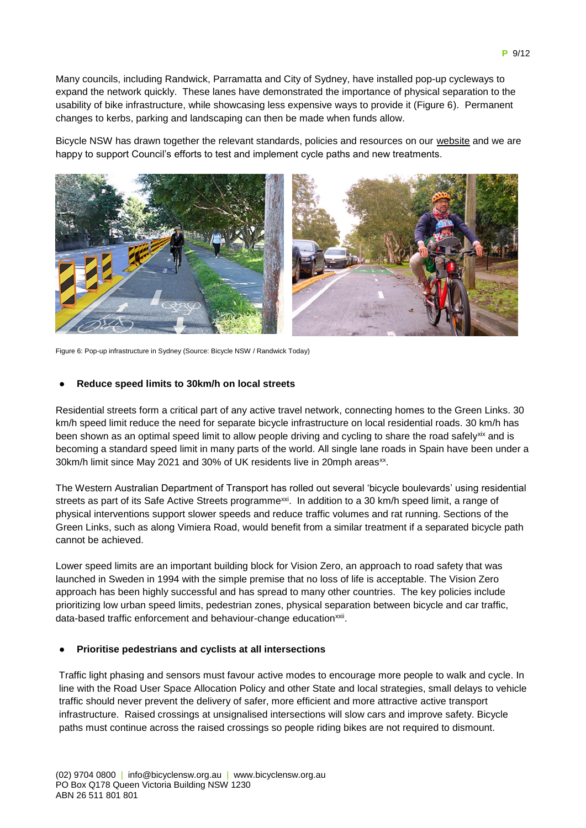Many councils, including Randwick, Parramatta and City of Sydney, have installed pop-up cycleways to expand the network quickly. These lanes have demonstrated the importance of physical separation to the usability of bike infrastructure, while showcasing less expensive ways to provide it (Figure 6). Permanent changes to kerbs, parking and landscaping can then be made when funds allow.

Bicycle NSW has drawn together the relevant standards, policies and resources on our [website](https://bicyclensw.org.au/rays-corner/) and we are happy to support Council's efforts to test and implement cycle paths and new treatments.



Figure 6: Pop-up infrastructure in Sydney (Source: Bicycle NSW / Randwick Today)

#### **Reduce speed limits to 30km/h on local streets**

Residential streets form a critical part of any active travel network, connecting homes to the Green Links. 30 km/h speed limit reduce the need for separate bicycle infrastructure on local residential roads. 30 km/h has been shown as an optimal speed limit to allow people driving and cycling to share the road safelyxix and is becoming a standard speed limit in many parts of the world. All single lane roads in Spain have been under a 30km/h limit since May 2021 and 30% of UK residents live in 20mph areas<sup>xx</sup>.

The Western Australian Department of Transport has rolled out several 'bicycle boulevards' using residential streets as part of its Safe Active Streets programme<sup>xxi</sup>. In addition to a 30 km/h speed limit, a range of physical interventions support slower speeds and reduce traffic volumes and rat running. Sections of the Green Links, such as along Vimiera Road, would benefit from a similar treatment if a separated bicycle path cannot be achieved.

Lower speed limits are an important building block for Vision Zero, an approach to road safety that was launched in Sweden in 1994 with the simple premise that no loss of life is acceptable. The Vision Zero approach has been highly successful and has spread to many other countries. The key policies include prioritizing low urban speed limits, pedestrian zones, physical separation between bicycle and car traffic, data-based traffic enforcement and behaviour-change education<sup>xxii</sup>.

#### ● **Prioritise pedestrians and cyclists at all intersections**

Traffic light phasing and sensors must favour active modes to encourage more people to walk and cycle. In line with the Road User Space Allocation Policy and other State and local strategies, small delays to vehicle traffic should never prevent the delivery of safer, more efficient and more attractive active transport infrastructure. Raised crossings at unsignalised intersections will slow cars and improve safety. Bicycle paths must continue across the raised crossings so people riding bikes are not required to dismount.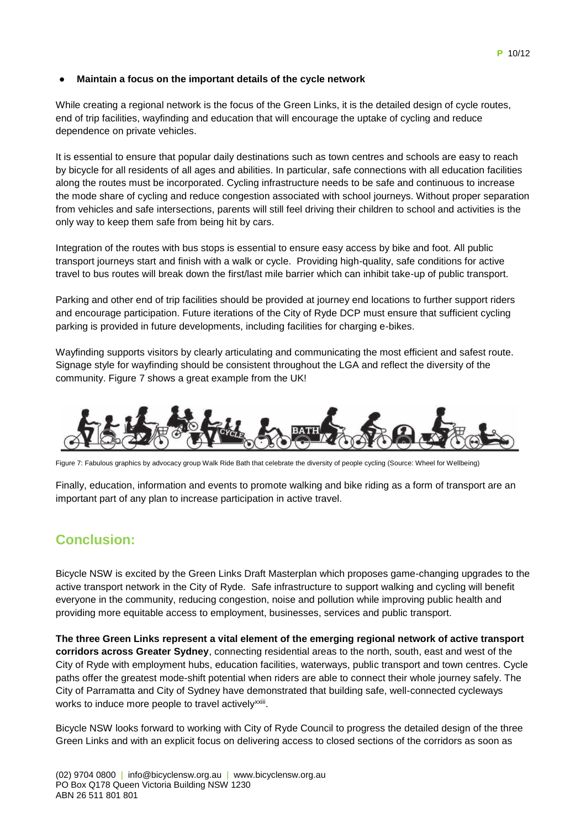#### **Maintain a focus on the important details of the cycle network**

While creating a regional network is the focus of the Green Links, it is the detailed design of cycle routes, end of trip facilities, wayfinding and education that will encourage the uptake of cycling and reduce dependence on private vehicles.

It is essential to ensure that popular daily destinations such as town centres and schools are easy to reach by bicycle for all residents of all ages and abilities. In particular, safe connections with all education facilities along the routes must be incorporated. Cycling infrastructure needs to be safe and continuous to increase the mode share of cycling and reduce congestion associated with school journeys. Without proper separation from vehicles and safe intersections, parents will still feel driving their children to school and activities is the only way to keep them safe from being hit by cars.

Integration of the routes with bus stops is essential to ensure easy access by bike and foot. All public transport journeys start and finish with a walk or cycle. Providing high-quality, safe conditions for active travel to bus routes will break down the first/last mile barrier which can inhibit take-up of public transport.

Parking and other end of trip facilities should be provided at journey end locations to further support riders and encourage participation. Future iterations of the City of Ryde DCP must ensure that sufficient cycling parking is provided in future developments, including facilities for charging e-bikes.

Wayfinding supports visitors by clearly articulating and communicating the most efficient and safest route. Signage style for wayfinding should be consistent throughout the LGA and reflect the diversity of the community. Figure 7 shows a great example from the UK!



Figure 7: Fabulous graphics by advocacy group Walk Ride Bath that celebrate the diversity of people cycling (Source: Wheel for Wellbeing)

Finally, education, information and events to promote walking and bike riding as a form of transport are an important part of any plan to increase participation in active travel.

# **Conclusion:**

Bicycle NSW is excited by the Green Links Draft Masterplan which proposes game-changing upgrades to the active transport network in the City of Ryde. Safe infrastructure to support walking and cycling will benefit everyone in the community, reducing congestion, noise and pollution while improving public health and providing more equitable access to employment, businesses, services and public transport.

**The three Green Links represent a vital element of the emerging regional network of active transport corridors across Greater Sydney**, connecting residential areas to the north, south, east and west of the City of Ryde with employment hubs, education facilities, waterways, public transport and town centres. Cycle paths offer the greatest mode-shift potential when riders are able to connect their whole journey safely. The City of Parramatta and City of Sydney have demonstrated that building safe, well-connected cycleways works to induce more people to travel actively<sup>xxiii</sup>.

Bicycle NSW looks forward to working with City of Ryde Council to progress the detailed design of the three Green Links and with an explicit focus on delivering access to closed sections of the corridors as soon as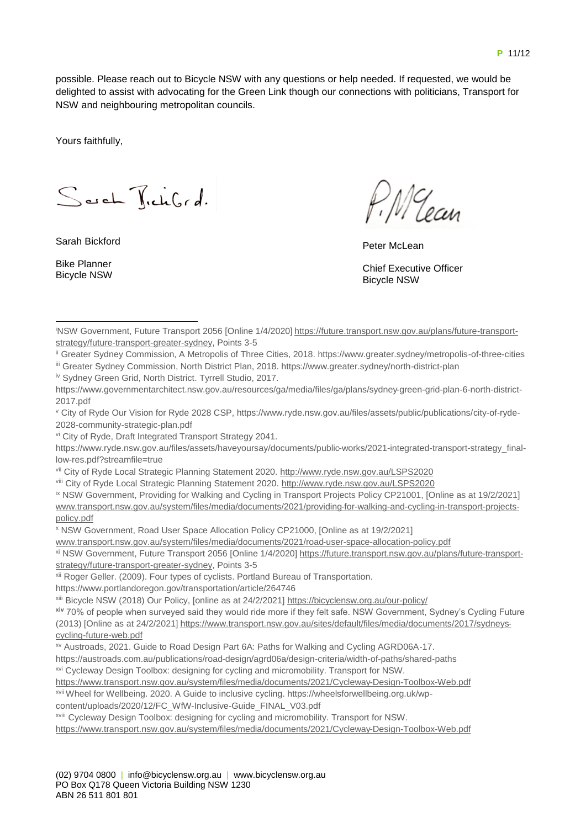possible. Please reach out to Bicycle NSW with any questions or help needed. If requested, we would be delighted to assist with advocating for the Green Link though our connections with politicians, Transport for NSW and neighbouring metropolitan councils.

Yours faithfully,

Sarah TickGrd.

Sarah Bickford

Bike Planner Bicycle NSW

1

P.MUcan

Peter McLean

Chief Executive Officer Bicycle NSW

- iv Sydney Green Grid, North District. Tyrrell Studio, 2017.
- https://www.governmentarchitect.nsw.gov.au/resources/ga/media/files/ga/plans/sydney-green-grid-plan-6-north-district-2017.pdf

<sup>v</sup> City of Ryde Our Vision for Ryde 2028 CSP, https://www.ryde.nsw.gov.au/files/assets/public/publications/city-of-ryde-2028-community-strategic-plan.pdf

vi City of Ryde, Draft Integrated Transport Strategy 2041.

https://www.ryde.nsw.gov.au/files/assets/haveyoursay/documents/public-works/2021-integrated-transport-strategy\_finallow-res.pdf?streamfile=true

- vii City of Ryde Local Strategic Planning Statement 2020[. http://www.ryde.nsw.gov.au/LSPS2020](http://www.ryde.nsw.gov.au/LSPS2020)
- viii City of Ryde Local Strategic Planning Statement 2020.<http://www.ryde.nsw.gov.au/LSPS2020>

ix NSW Government, Providing for Walking and Cycling in Transport Projects Policy CP21001, [Online as at 19/2/2021] [www.transport.nsw.gov.au/system/files/media/documents/2021/providing-for-walking-and-cycling-in-transport-projects](http://www.transport.nsw.gov.au/system/files/media/documents/2021/providing-for-walking-and-cycling-in-transport-projects-policy.pdf)[policy.pdf](http://www.transport.nsw.gov.au/system/files/media/documents/2021/providing-for-walking-and-cycling-in-transport-projects-policy.pdf)

<sup>x</sup> NSW Government, Road User Space Allocation Policy CP21000, [Online as at 19/2/2021]

[www.transport.nsw.gov.au/system/files/media/documents/2021/road-user-space-allocation-policy.pdf](http://www.transport.nsw.gov.au/system/files/media/documents/2021/road-user-space-allocation-policy.pdf)

xi NSW Government, Future Transport 2056 [Online 1/4/2020[\] https://future.transport.nsw.gov.au/plans/future-transport](https://future.transport.nsw.gov.au/plans/future-transport-strategy/future-transport-greater-sydney)[strategy/future-transport-greater-sydney,](https://future.transport.nsw.gov.au/plans/future-transport-strategy/future-transport-greater-sydney) Points 3-5

xii Roger Geller. (2009). Four types of cyclists. Portland Bureau of Transportation.

https://www.portlandoregon.gov/transportation/article/264746

xiii Bicycle NSW (2018) Our Policy, [online as at 24/2/2021]<https://bicyclensw.org.au/our-policy/>

**xiv** 70% of people when surveyed said they would ride more if they felt safe. NSW Government, Sydney's Cycling Future (2013) [Online as at 24/2/2021[\] https://www.transport.nsw.gov.au/sites/default/files/media/documents/2017/sydneys](https://www.transport.nsw.gov.au/sites/default/files/media/documents/2017/sydneys-cycling-future-web.pdf)[cycling-future-web.pdf](https://www.transport.nsw.gov.au/sites/default/files/media/documents/2017/sydneys-cycling-future-web.pdf)

xv Austroads, 2021. Guide to Road Design Part 6A: Paths for Walking and Cycling AGRD06A-17.

https://austroads.com.au/publications/road-design/agrd06a/design-criteria/width-of-paths/shared-paths

xvi Cycleway Design Toolbox: designing for cycling and micromobility. Transport for NSW.

<https://www.transport.nsw.gov.au/system/files/media/documents/2021/Cycleway-Design-Toolbox-Web.pdf>

xvii Wheel for Wellbeing. 2020. A Guide to inclusive cycling. https://wheelsforwellbeing.org.uk/wp-

xviii Cycleway Design Toolbox: designing for cycling and micromobility. Transport for NSW.

<https://www.transport.nsw.gov.au/system/files/media/documents/2021/Cycleway-Design-Toolbox-Web.pdf>

iNSW Government, Future Transport 2056 [Online 1/4/2020[\] https://future.transport.nsw.gov.au/plans/future-transport](https://future.transport.nsw.gov.au/plans/future-transport-strategy/future-transport-greater-sydney)[strategy/future-transport-greater-sydney,](https://future.transport.nsw.gov.au/plans/future-transport-strategy/future-transport-greater-sydney) Points 3-5

ii Greater Sydney Commission, A Metropolis of Three Cities, 2018. https://www.greater.sydney/metropolis-of-three-cities

iii Greater Sydney Commission, North District Plan, 2018. https://www.greater.sydney/north-district-plan

content/uploads/2020/12/FC\_WfW-Inclusive-Guide\_FINAL\_V03.pdf